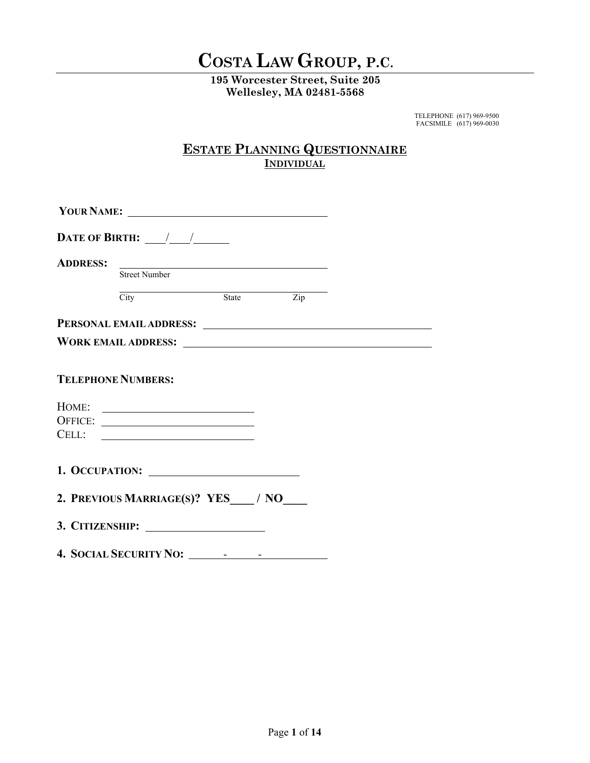# **COSTA LAW GROUP, P.C.**

**195 Worcester Street, Suite 205 Wellesley, MA 02481-5568** 

> TELEPHONE (617) 969-9500 FACSIMILE (617) 969-0030

# **ESTATE PLANNING QUESTIONNAIRE INDIVIDUAL**

|                 | YOUR NAME:                                                                                                                                   |           |  |  |
|-----------------|----------------------------------------------------------------------------------------------------------------------------------------------|-----------|--|--|
|                 | DATE OF BIRTH: $\frac{\sqrt{1-\frac{1}{2}}}{\sqrt{1-\frac{1}{2}}}}$                                                                          |           |  |  |
| <b>ADDRESS:</b> | <u> 1989 - Jan Barbara Barat, manazarta da kasas da shekara 1989 - An an tsara tsara da shekara tsara da shekara</u><br><b>Street Number</b> |           |  |  |
|                 | City                                                                                                                                         | State Zip |  |  |
|                 |                                                                                                                                              |           |  |  |
|                 |                                                                                                                                              |           |  |  |
|                 | <b>TELEPHONE NUMBERS:</b>                                                                                                                    |           |  |  |
|                 | OFFICE:                                                                                                                                      |           |  |  |
|                 |                                                                                                                                              |           |  |  |
|                 | 2. PREVIOUS MARRIAGE(S)? YES / NO                                                                                                            |           |  |  |
|                 |                                                                                                                                              |           |  |  |
|                 |                                                                                                                                              |           |  |  |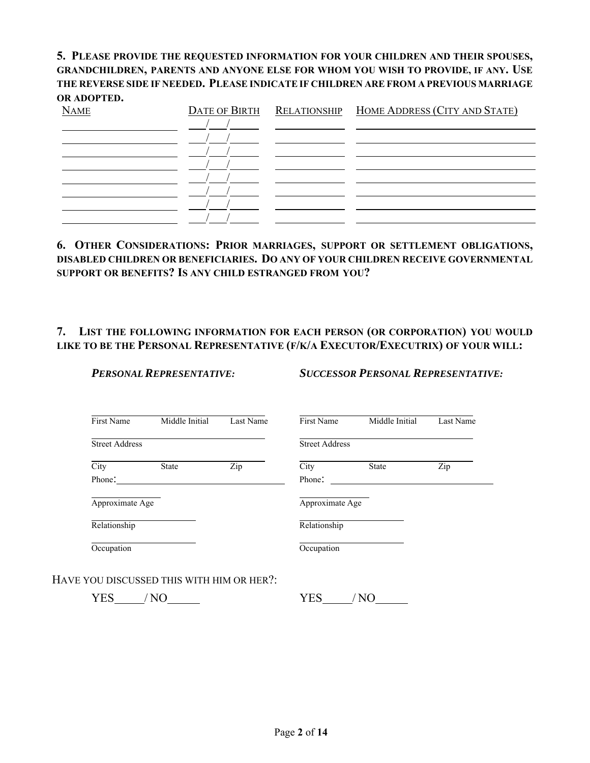# **5. PLEASE PROVIDE THE REQUESTED INFORMATION FOR YOUR CHILDREN AND THEIR SPOUSES, GRANDCHILDREN, PARENTS AND ANYONE ELSE FOR WHOM YOU WISH TO PROVIDE, IF ANY. USE THE REVERSE SIDE IF NEEDED. PLEASE INDICATE IF CHILDREN ARE FROM A PREVIOUS MARRIAGE OR ADOPTED.**

| <b>NAME</b> |  | DATE OF BIRTH RELATIONSHIP HOME ADDRESS (CITY AND STATE) |
|-------------|--|----------------------------------------------------------|
|             |  |                                                          |
|             |  |                                                          |
|             |  |                                                          |
|             |  |                                                          |
|             |  |                                                          |
|             |  |                                                          |
|             |  |                                                          |
|             |  |                                                          |

#### **6. OTHER CONSIDERATIONS: PRIOR MARRIAGES, SUPPORT OR SETTLEMENT OBLIGATIONS, DISABLED CHILDREN OR BENEFICIARIES. DO ANY OF YOUR CHILDREN RECEIVE GOVERNMENTAL SUPPORT OR BENEFITS? IS ANY CHILD ESTRANGED FROM YOU?**

# **7. LIST THE FOLLOWING INFORMATION FOR EACH PERSON (OR CORPORATION) YOU WOULD LIKE TO BE THE PERSONAL REPRESENTATIVE (F/K/A EXECUTOR/EXECUTRIX) OF YOUR WILL:**

*PERSONAL REPRESENTATIVE: SUCCESSOR PERSONAL REPRESENTATIVE:* 

| First Name            | Middle Initial | Last Name | First Name            | Middle Initial | Last Name |
|-----------------------|----------------|-----------|-----------------------|----------------|-----------|
| <b>Street Address</b> |                |           | <b>Street Address</b> |                |           |
| City                  | <b>State</b>   | Zip       | City                  | <b>State</b>   | Zip       |
| Phone:                |                |           | Phone:                |                |           |
| Approximate Age       |                |           | Approximate Age       |                |           |
| Relationship          |                |           | Relationship          |                |           |
| Occupation            |                |           | Occupation            |                |           |

HAVE YOU DISCUSSED THIS WITH HIM OR HER?:

YES / NO YES / NO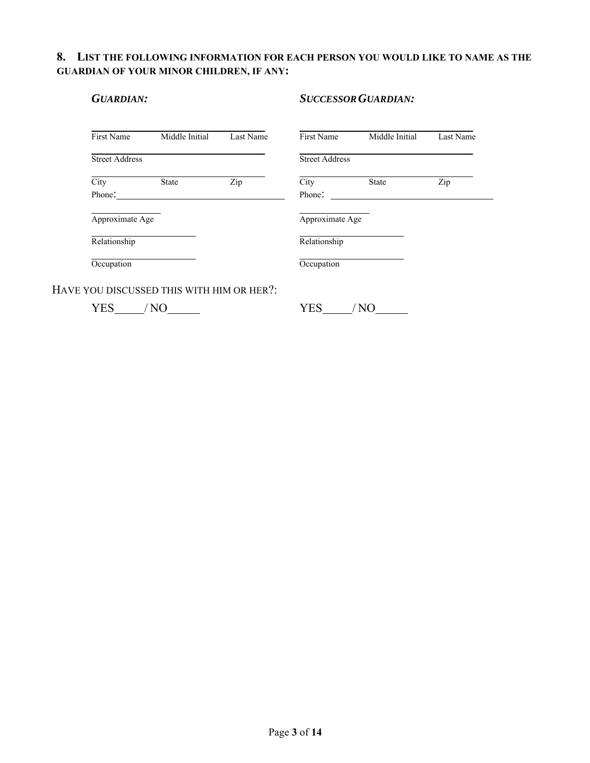#### **8. LIST THE FOLLOWING INFORMATION FOR EACH PERSON YOU WOULD LIKE TO NAME AS THE GUARDIAN OF YOUR MINOR CHILDREN, IF ANY:**

| <b>GUARDIAN:</b>      |                |           | <b>SUCCESSOR GUARDIAN:</b> |                |           |  |
|-----------------------|----------------|-----------|----------------------------|----------------|-----------|--|
| First Name            | Middle Initial | Last Name | First Name                 | Middle Initial | Last Name |  |
| <b>Street Address</b> |                |           | <b>Street Address</b>      |                |           |  |
| City                  | <b>State</b>   | Zip       | City                       | <b>State</b>   | Zip       |  |
| Phone:                |                |           | Phone:                     |                |           |  |
| Approximate Age       |                |           | Approximate Age            |                |           |  |
| Relationship          |                |           | Relationship               |                |           |  |
| Occupation            |                |           | Occupation                 |                |           |  |

HAVE Y

YES / NO YES / NO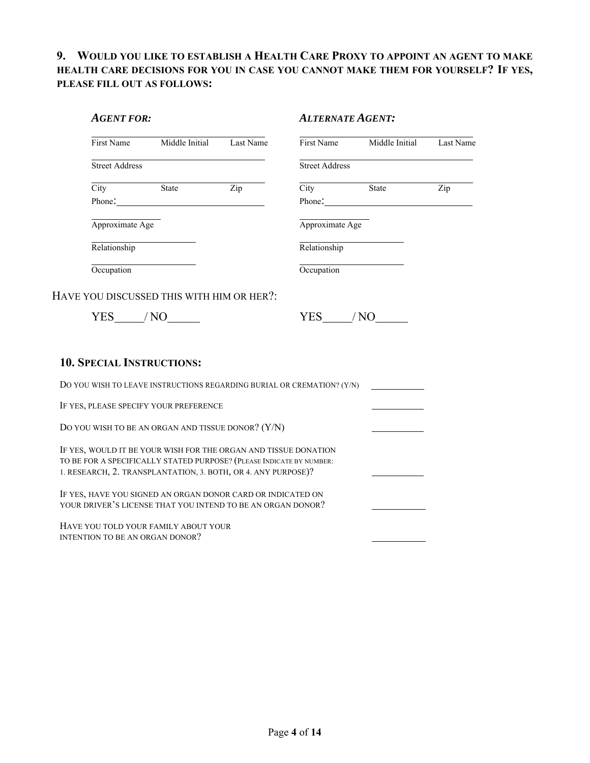# **9. WOULD YOU LIKE TO ESTABLISH A HEALTH CARE PROXY TO APPOINT AN AGENT TO MAKE HEALTH CARE DECISIONS FOR YOU IN CASE YOU CANNOT MAKE THEM FOR YOURSELF? IF YES, PLEASE FILL OUT AS FOLLOWS:**

| <b>AGENT FOR:</b>                                                                                                                                                                                        |                                                                                                                                                                                                                                |                           | <b>ALTERNATE AGENT:</b> |                           |                           |
|----------------------------------------------------------------------------------------------------------------------------------------------------------------------------------------------------------|--------------------------------------------------------------------------------------------------------------------------------------------------------------------------------------------------------------------------------|---------------------------|-------------------------|---------------------------|---------------------------|
|                                                                                                                                                                                                          | First Name Middle Initial                                                                                                                                                                                                      | Last Name                 |                         | First Name Middle Initial | Last Name                 |
| Street Address                                                                                                                                                                                           |                                                                                                                                                                                                                                |                           | Street Address          |                           |                           |
| City State                                                                                                                                                                                               | Phone: 2008 Change and 2008 Change and 2008 Change and 2008 Change and 2008 Change and 2008 Change and 2008 Change and 2008 Change and 2008 Change and 2008 Change and 2008 Change and 2008 Change and 2008 Change and 2008 Ch | $\overline{\mathrm{Zip}}$ | City State              | Phone:                    | $\overline{\mathrm{Zip}}$ |
| Approximate Age                                                                                                                                                                                          |                                                                                                                                                                                                                                |                           | Approximate Age         |                           |                           |
| Relationship                                                                                                                                                                                             |                                                                                                                                                                                                                                |                           | Relationship            |                           |                           |
| Occupation                                                                                                                                                                                               |                                                                                                                                                                                                                                |                           | Occupation              |                           |                           |
|                                                                                                                                                                                                          |                                                                                                                                                                                                                                |                           |                         |                           |                           |
| <b>10. SPECIAL INSTRUCTIONS:</b>                                                                                                                                                                         |                                                                                                                                                                                                                                |                           |                         |                           |                           |
| DO YOU WISH TO LEAVE INSTRUCTIONS REGARDING BURIAL OR CREMATION? (Y/N)                                                                                                                                   |                                                                                                                                                                                                                                |                           |                         |                           |                           |
| IF YES, PLEASE SPECIFY YOUR PREFERENCE                                                                                                                                                                   |                                                                                                                                                                                                                                |                           |                         |                           |                           |
| DO YOU WISH TO BE AN ORGAN AND TISSUE DONOR? (Y/N)                                                                                                                                                       |                                                                                                                                                                                                                                |                           |                         |                           |                           |
| IF YES, WOULD IT BE YOUR WISH FOR THE ORGAN AND TISSUE DONATION<br>TO BE FOR A SPECIFICALLY STATED PURPOSE? (PLEASE INDICATE BY NUMBER:<br>1. RESEARCH, 2. TRANSPLANTATION, 3. BOTH, OR 4. ANY PURPOSE)? |                                                                                                                                                                                                                                |                           |                         |                           |                           |
| IF YES, HAVE YOU SIGNED AN ORGAN DONOR CARD OR INDICATED ON<br>YOUR DRIVER'S LICENSE THAT YOU INTEND TO BE AN ORGAN DONOR?                                                                               |                                                                                                                                                                                                                                |                           |                         |                           |                           |
| HAVE YOU TOLD YOUR FAMILY ABOUT YOUR<br>INTENTION TO BE AN ORGAN DONOR?                                                                                                                                  |                                                                                                                                                                                                                                |                           |                         |                           |                           |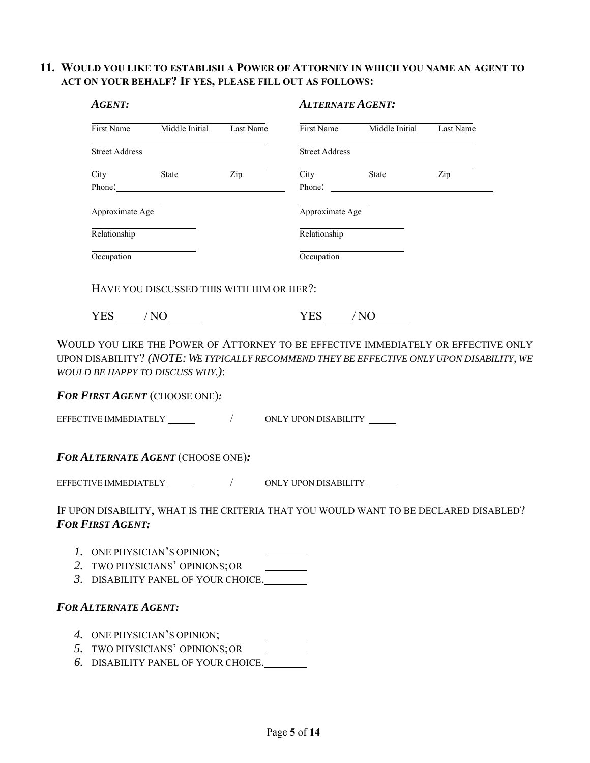# **11. WOULD YOU LIKE TO ESTABLISH A POWER OF ATTORNEY IN WHICH YOU NAME AN AGENT TO ACT ON YOUR BEHALF? IF YES, PLEASE FILL OUT AS FOLLOWS:**

| <b>AGENT:</b>               |                                                                                                                                                                                                                                                  |  | <b>ALTERNATE AGENT:</b> |                                     |                                                                                       |  |
|-----------------------------|--------------------------------------------------------------------------------------------------------------------------------------------------------------------------------------------------------------------------------------------------|--|-------------------------|-------------------------------------|---------------------------------------------------------------------------------------|--|
|                             | First Name Middle Initial Last Name                                                                                                                                                                                                              |  |                         | First Name Middle Initial Last Name |                                                                                       |  |
| Street Address              |                                                                                                                                                                                                                                                  |  | Street Address          |                                     |                                                                                       |  |
|                             | City State Zip<br>Phone: 2008 Phone: 2008 Phone: 2008 Phone: 2008 Phone: 2008 Phone: 2008 Phone: 2008 Phone: 2008 Phone: 2008 Phone: 2008 Phone: 2008 Phone: 2008 Phone: 2008 Phone: 2008 Phone: 2008 Phone: 2008 Phone: 2008 Phone: 2008 Phone: |  |                         | City State Zip                      |                                                                                       |  |
|                             |                                                                                                                                                                                                                                                  |  |                         |                                     |                                                                                       |  |
| Approximate Age             |                                                                                                                                                                                                                                                  |  | Approximate Age         |                                     |                                                                                       |  |
| Relationship                |                                                                                                                                                                                                                                                  |  | Relationship            |                                     |                                                                                       |  |
| Occupation                  |                                                                                                                                                                                                                                                  |  | Occupation              |                                     |                                                                                       |  |
|                             | HAVE YOU DISCUSSED THIS WITH HIM OR HER?:                                                                                                                                                                                                        |  |                         |                                     |                                                                                       |  |
|                             | $YES$ $/NO$ $\qquad$                                                                                                                                                                                                                             |  | $YES$ $NQ$              |                                     |                                                                                       |  |
|                             | WOULD BE HAPPY TO DISCUSS WHY.):<br>FOR FIRST AGENT (CHOOSE ONE):                                                                                                                                                                                |  |                         |                                     |                                                                                       |  |
|                             | FOR ALTERNATE AGENT (CHOOSE ONE):                                                                                                                                                                                                                |  |                         |                                     |                                                                                       |  |
|                             |                                                                                                                                                                                                                                                  |  |                         |                                     |                                                                                       |  |
| <b>FOR FIRST AGENT:</b>     |                                                                                                                                                                                                                                                  |  |                         |                                     | IF UPON DISABILITY, WHAT IS THE CRITERIA THAT YOU WOULD WANT TO BE DECLARED DISABLED? |  |
|                             | 1. ONE PHYSICIAN'S OPINION;                                                                                                                                                                                                                      |  |                         |                                     |                                                                                       |  |
|                             | 2. TWO PHYSICIANS' OPINIONS; OR                                                                                                                                                                                                                  |  |                         |                                     |                                                                                       |  |
|                             | 3. DISABILITY PANEL OF YOUR CHOICE.                                                                                                                                                                                                              |  |                         |                                     |                                                                                       |  |
| <b>FOR ALTERNATE AGENT:</b> |                                                                                                                                                                                                                                                  |  |                         |                                     |                                                                                       |  |
|                             | 4. ONE PHYSICIAN'S OPINION;                                                                                                                                                                                                                      |  |                         |                                     |                                                                                       |  |
|                             | 5. TWO PHYSICIANS' OPINIONS; OR                                                                                                                                                                                                                  |  |                         |                                     |                                                                                       |  |

*6.* DISABILITY PANEL OF YOUR CHOICE.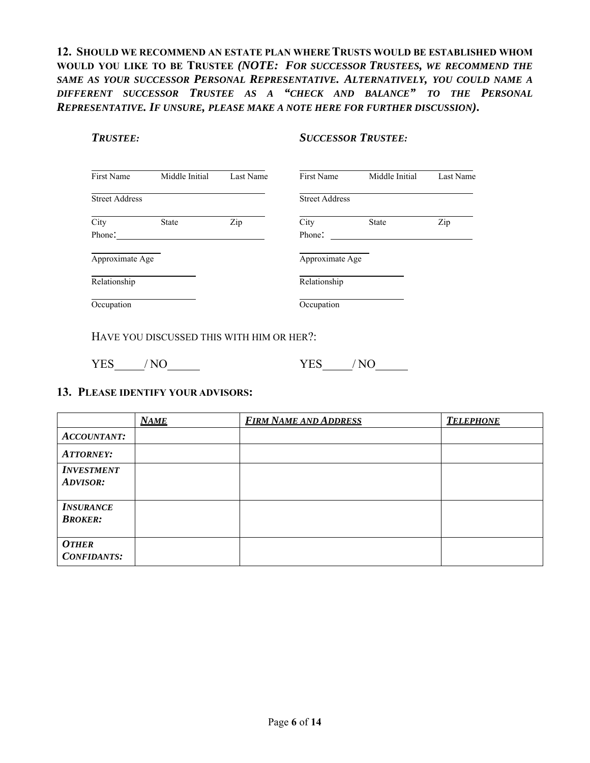# **12. SHOULD WE RECOMMEND AN ESTATE PLAN WHERE TRUSTS WOULD BE ESTABLISHED WHOM WOULD YOU LIKE TO BE TRUSTEE** *(NOTE: FOR SUCCESSOR TRUSTEES, WE RECOMMEND THE SAME AS YOUR SUCCESSOR PERSONAL REPRESENTATIVE. ALTERNATIVELY, YOU COULD NAME A DIFFERENT SUCCESSOR TRUSTEE AS A "CHECK AND BALANCE" TO THE PERSONAL REPRESENTATIVE. IF UNSURE, PLEASE MAKE A NOTE HERE FOR FURTHER DISCUSSION)***.**

#### *TRUSTEE: SUCCESSOR TRUSTEE:*

| First Name            | Middle Initial | Last Name | First Name            | Middle Initial | Last Name |
|-----------------------|----------------|-----------|-----------------------|----------------|-----------|
| <b>Street Address</b> |                |           | <b>Street Address</b> |                |           |
| City                  | State          | Zip       | City                  | <b>State</b>   | Zip       |
| Phone:                |                |           | Phone:                |                |           |
| Approximate Age       |                |           | Approximate Age       |                |           |
| Relationship          |                |           | Relationship          |                |           |
| Occupation            |                |           | Occupation            |                |           |

HAVE YOU DISCUSSED THIS WITH HIM OR HER?:

YES / NO YES / NO

### **13. PLEASE IDENTIFY YOUR ADVISORS:**

|                                      | <b>NAME</b> | <b>FIRM NAME AND ADDRESS</b> | <b>TELEPHONE</b> |
|--------------------------------------|-------------|------------------------------|------------------|
| <b>ACCOUNTANT:</b>                   |             |                              |                  |
| <b>ATTORNEY:</b>                     |             |                              |                  |
| <b>INVESTMENT</b><br><b>ADVISOR:</b> |             |                              |                  |
| <b>INSURANCE</b><br><b>BROKER:</b>   |             |                              |                  |
| <b>OTHER</b><br><b>CONFIDANTS:</b>   |             |                              |                  |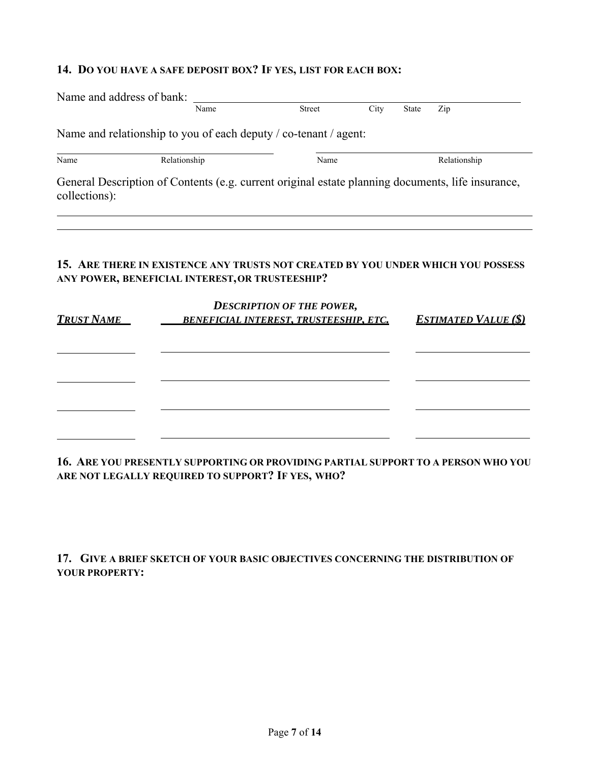# **14. DO YOU HAVE A SAFE DEPOSIT BOX? IF YES, LIST FOR EACH BOX:**

| Name and address of bank: |                                                                                                   |                                               |      |              |                             |
|---------------------------|---------------------------------------------------------------------------------------------------|-----------------------------------------------|------|--------------|-----------------------------|
|                           | Name                                                                                              | <b>Street</b>                                 | City | <b>State</b> | Zip                         |
|                           | Name and relationship to you of each deputy / co-tenant / agent:                                  |                                               |      |              |                             |
| Name                      | Relationship                                                                                      | Name                                          |      |              | Relationship                |
| collections):             | General Description of Contents (e.g. current original estate planning documents, life insurance, |                                               |      |              |                             |
|                           |                                                                                                   |                                               |      |              |                             |
|                           |                                                                                                   |                                               |      |              |                             |
|                           |                                                                                                   |                                               |      |              |                             |
|                           | 15. ARE THERE IN EXISTENCE ANY TRUSTS NOT CREATED BY YOU UNDER WHICH YOU POSSESS                  |                                               |      |              |                             |
|                           | ANY POWER, BENEFICIAL INTEREST, OR TRUSTEESHIP?                                                   |                                               |      |              |                             |
|                           |                                                                                                   | <b>DESCRIPTION OF THE POWER,</b>              |      |              |                             |
| <u>Trust Name</u>         |                                                                                                   | <b>BENEFICIAL INTEREST, TRUSTEESHIP, ETC.</b> |      |              |                             |
|                           |                                                                                                   |                                               |      |              |                             |
|                           |                                                                                                   |                                               |      |              |                             |
|                           |                                                                                                   |                                               |      |              |                             |
|                           |                                                                                                   |                                               |      |              |                             |
|                           |                                                                                                   |                                               |      |              |                             |
|                           |                                                                                                   |                                               |      |              |                             |
|                           |                                                                                                   |                                               |      |              |                             |
|                           |                                                                                                   |                                               |      |              | <b>ESTIMATED VALUE (\$)</b> |

**16. ARE YOU PRESENTLY SUPPORTING OR PROVIDING PARTIAL SUPPORT TO A PERSON WHO YOU ARE NOT LEGALLY REQUIRED TO SUPPORT? IF YES, WHO?** 

**17. GIVE A BRIEF SKETCH OF YOUR BASIC OBJECTIVES CONCERNING THE DISTRIBUTION OF YOUR PROPERTY:**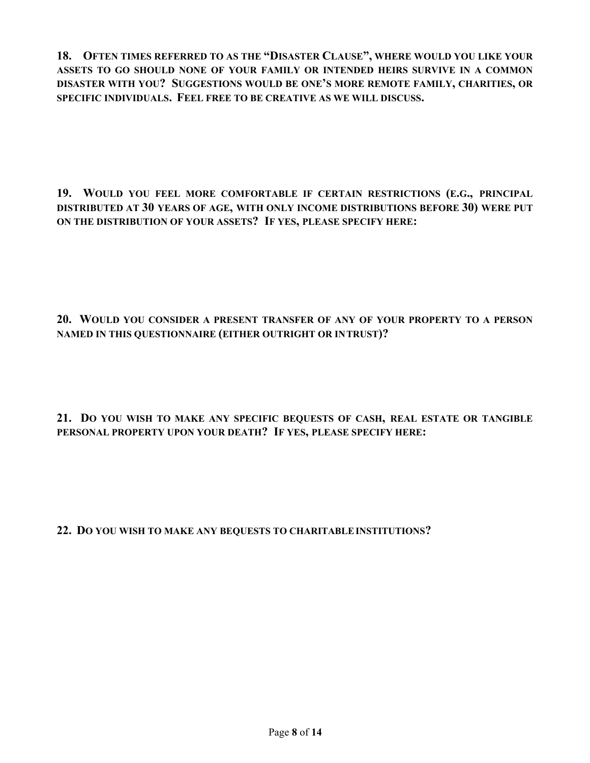**18. OFTEN TIMES REFERRED TO AS THE "DISASTER CLAUSE", WHERE WOULD YOU LIKE YOUR ASSETS TO GO SHOULD NONE OF YOUR FAMILY OR INTENDED HEIRS SURVIVE IN A COMMON DISASTER WITH YOU? SUGGESTIONS WOULD BE ONE'S MORE REMOTE FAMILY, CHARITIES, OR SPECIFIC INDIVIDUALS. FEEL FREE TO BE CREATIVE AS WE WILL DISCUSS.** 

**19. WOULD YOU FEEL MORE COMFORTABLE IF CERTAIN RESTRICTIONS (E.G., PRINCIPAL DISTRIBUTED AT 30 YEARS OF AGE, WITH ONLY INCOME DISTRIBUTIONS BEFORE 30) WERE PUT ON THE DISTRIBUTION OF YOUR ASSETS? IF YES, PLEASE SPECIFY HERE:** 

**20. WOULD YOU CONSIDER A PRESENT TRANSFER OF ANY OF YOUR PROPERTY TO A PERSON NAMED IN THIS QUESTIONNAIRE (EITHER OUTRIGHT OR IN TRUST)?** 

**21. DO YOU WISH TO MAKE ANY SPECIFIC BEQUESTS OF CASH, REAL ESTATE OR TANGIBLE PERSONAL PROPERTY UPON YOUR DEATH? IF YES, PLEASE SPECIFY HERE:** 

**22. DO YOU WISH TO MAKE ANY BEQUESTS TO CHARITABLE INSTITUTIONS?**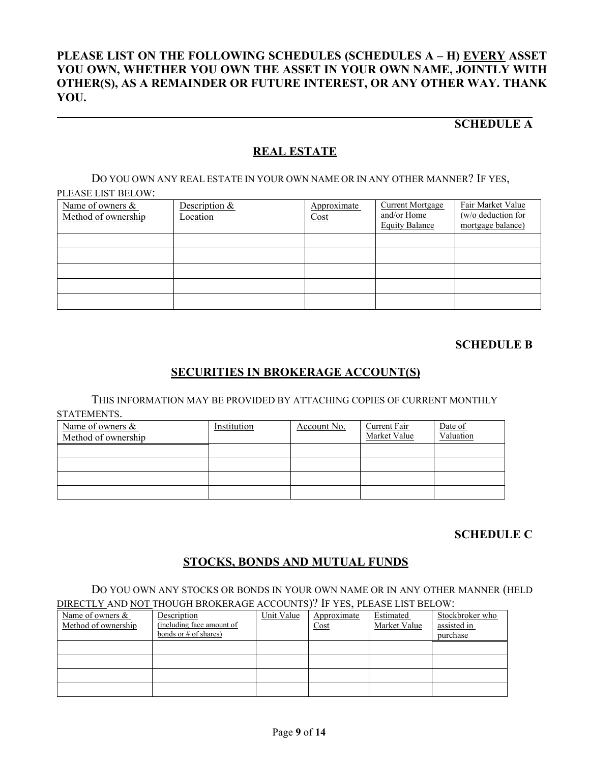# **PLEASE LIST ON THE FOLLOWING SCHEDULES (SCHEDULES A – H) EVERY ASSET YOU OWN, WHETHER YOU OWN THE ASSET IN YOUR OWN NAME, JOINTLY WITH OTHER(S), AS A REMAINDER OR FUTURE INTEREST, OR ANY OTHER WAY. THANK YOU.**

# **SCHEDULE A**

# **REAL ESTATE**

DO YOU OWN ANY REAL ESTATE IN YOUR OWN NAME OR IN ANY OTHER MANNER? IF YES, PLEASE LIST BELOW:

| Name of owners &<br>Method of ownership | Description &<br>Location | Approximate<br>Cost | <b>Current Mortgage</b><br>and/or Home<br><b>Equity Balance</b> | Fair Market Value<br>$(w/o)$ deduction for<br>mortgage balance) |
|-----------------------------------------|---------------------------|---------------------|-----------------------------------------------------------------|-----------------------------------------------------------------|
|                                         |                           |                     |                                                                 |                                                                 |
|                                         |                           |                     |                                                                 |                                                                 |
|                                         |                           |                     |                                                                 |                                                                 |
|                                         |                           |                     |                                                                 |                                                                 |
|                                         |                           |                     |                                                                 |                                                                 |

# **SCHEDULE B**

# **SECURITIES IN BROKERAGE ACCOUNT(S)**

THIS INFORMATION MAY BE PROVIDED BY ATTACHING COPIES OF CURRENT MONTHLY

STATEMENTS.

| Name of owners &<br>Method of ownership | Institution | Account No. | Current Fair<br>Market Value | Date of<br>Valuation |
|-----------------------------------------|-------------|-------------|------------------------------|----------------------|
|                                         |             |             |                              |                      |
|                                         |             |             |                              |                      |
|                                         |             |             |                              |                      |
|                                         |             |             |                              |                      |

# **SCHEDULE C**

# **STOCKS, BONDS AND MUTUAL FUNDS**

DO YOU OWN ANY STOCKS OR BONDS IN YOUR OWN NAME OR IN ANY OTHER MANNER (HELD DIRECTLY AND NOT THOUGH BROKERAGE ACCOUNTS)? IF YES, PLEASE LIST BELOW:

| Name of owners &    | Description               | Unit Value | Approximate | Estimated    | Stockbroker who |
|---------------------|---------------------------|------------|-------------|--------------|-----------------|
| Method of ownership | (including face amount of |            | Cost        | Market Value | assisted in     |
|                     | bonds or $#$ of shares)   |            |             |              | purchase        |
|                     |                           |            |             |              |                 |
|                     |                           |            |             |              |                 |
|                     |                           |            |             |              |                 |
|                     |                           |            |             |              |                 |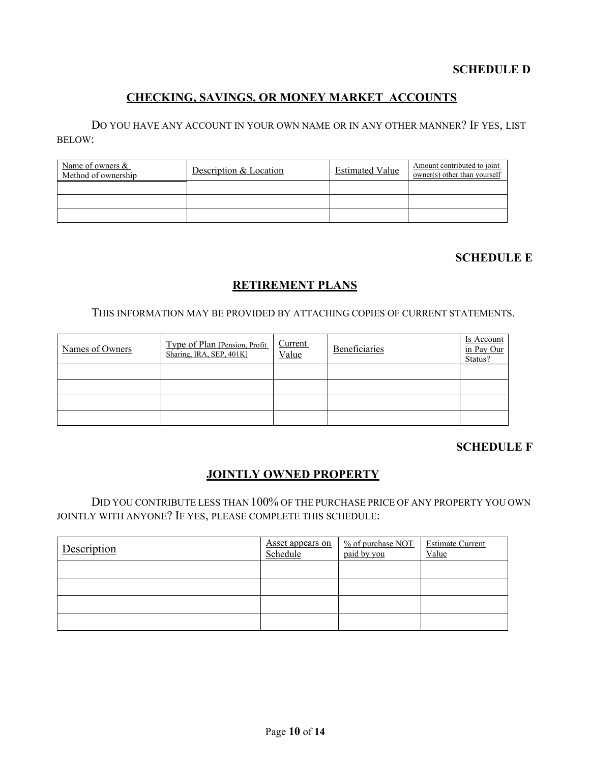# **SCHEDULE D**

# **CHECKING, SAVINGS, OR MONEY MARKET ACCOUNTS**

DO YOU HAVE ANY ACCOUNT IN YOUR OWN NAME OR IN ANY OTHER MANNER? IF YES, LIST BELOW:

| Name of owners $\&$<br>Method of ownership | Description & Location | <b>Estimated Value</b> | Amount contributed to joint<br>owner(s) other than yourself |
|--------------------------------------------|------------------------|------------------------|-------------------------------------------------------------|
|                                            |                        |                        |                                                             |
|                                            |                        |                        |                                                             |
|                                            |                        |                        |                                                             |

# **SCHEDULE E**

# **RETIREMENT PLANS**

#### THIS INFORMATION MAY BE PROVIDED BY ATTACHING COPIES OF CURRENT STATEMENTS.

| Names of Owners | Type of Plan [Pension, Profit]<br>Sharing, IRA, SEP, 401K] | Current<br>Value | <b>Beneficiaries</b> | Is Account<br>in Pay Our<br>Status? |
|-----------------|------------------------------------------------------------|------------------|----------------------|-------------------------------------|
|                 |                                                            |                  |                      |                                     |
|                 |                                                            |                  |                      |                                     |
|                 |                                                            |                  |                      |                                     |
|                 |                                                            |                  |                      |                                     |

#### **SCHEDULE F**

# **JOINTLY OWNED PROPERTY**

DID YOU CONTRIBUTE LESS THAN 100% OF THE PURCHASE PRICE OF ANY PROPERTY YOU OWN JOINTLY WITH ANYONE? IF YES, PLEASE COMPLETE THIS SCHEDULE:

| Description | Asset appears on<br>Schedule | $%$ of purchase NOT<br>paid by you | <b>Estimate Current</b><br>Value |
|-------------|------------------------------|------------------------------------|----------------------------------|
|             |                              |                                    |                                  |
|             |                              |                                    |                                  |
|             |                              |                                    |                                  |
|             |                              |                                    |                                  |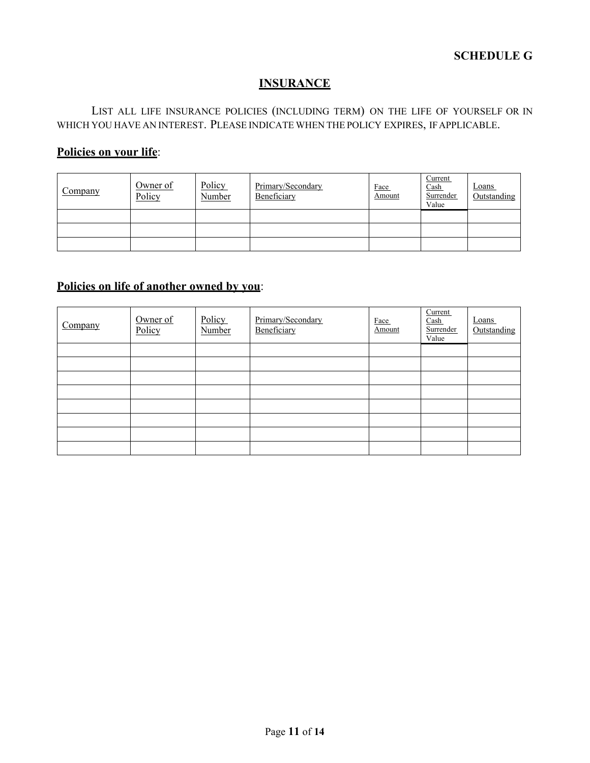# **INSURANCE**

LIST ALL LIFE INSURANCE POLICIES (INCLUDING TERM) ON THE LIFE OF YOURSELF OR IN WHICH YOU HAVE AN INTEREST. PLEASE INDICATE WHEN THE POLICY EXPIRES, IF APPLICABLE.

# **Policies on your life**:

| Company | Owner of<br>Policy | Policy<br>Number | Primary/Secondary<br>Beneficiary | Face<br>Amount | Current<br>$\frac{\text{Cash}}{\text{Cash}}$<br>Surrender<br>Value | Loans<br>Outstanding |
|---------|--------------------|------------------|----------------------------------|----------------|--------------------------------------------------------------------|----------------------|
|         |                    |                  |                                  |                |                                                                    |                      |
|         |                    |                  |                                  |                |                                                                    |                      |
|         |                    |                  |                                  |                |                                                                    |                      |

# **Policies on life of another owned by you**:

| Company | Owner of<br>Policy | Policy<br>Number | Primary/Secondary<br>Beneficiary | Face<br>Amount | Current<br>Cash<br>Surrender<br>Value | Loans<br>Outstanding |
|---------|--------------------|------------------|----------------------------------|----------------|---------------------------------------|----------------------|
|         |                    |                  |                                  |                |                                       |                      |
|         |                    |                  |                                  |                |                                       |                      |
|         |                    |                  |                                  |                |                                       |                      |
|         |                    |                  |                                  |                |                                       |                      |
|         |                    |                  |                                  |                |                                       |                      |
|         |                    |                  |                                  |                |                                       |                      |
|         |                    |                  |                                  |                |                                       |                      |
|         |                    |                  |                                  |                |                                       |                      |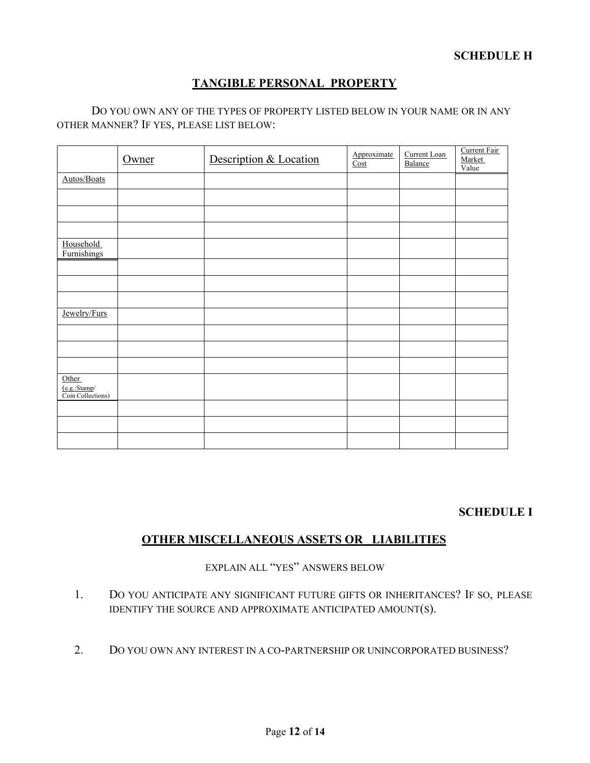# **TANGIBLE PERSONAL PROPERTY**

#### DO YOU OWN ANY OF THE TYPES OF PROPERTY LISTED BELOW IN YOUR NAME OR IN ANY OTHER MANNER? IF YES, PLEASE LIST BELOW:

|                                            | Owner | Description & Location | Approximate<br>Cost | Current Loan<br>Balance | Current Fair<br>Market<br>Value |
|--------------------------------------------|-------|------------------------|---------------------|-------------------------|---------------------------------|
| Autos/Boats                                |       |                        |                     |                         |                                 |
|                                            |       |                        |                     |                         |                                 |
|                                            |       |                        |                     |                         |                                 |
|                                            |       |                        |                     |                         |                                 |
| Household<br>Furnishings                   |       |                        |                     |                         |                                 |
|                                            |       |                        |                     |                         |                                 |
|                                            |       |                        |                     |                         |                                 |
|                                            |       |                        |                     |                         |                                 |
| Jewelry/Furs                               |       |                        |                     |                         |                                 |
|                                            |       |                        |                     |                         |                                 |
|                                            |       |                        |                     |                         |                                 |
|                                            |       |                        |                     |                         |                                 |
| Other<br>(e.g.:Stamp/<br>Coin Collections) |       |                        |                     |                         |                                 |
|                                            |       |                        |                     |                         |                                 |
|                                            |       |                        |                     |                         |                                 |
|                                            |       |                        |                     |                         |                                 |

# **SCHEDULE I**

# **OTHER MISCELLANEOUS ASSETS OR LIABILITIES**

EXPLAIN ALL "YES" ANSWERS BELOW

- 1. DO YOU ANTICIPATE ANY SIGNIFICANT FUTURE GIFTS OR INHERITANCES? IF SO, PLEASE IDENTIFY THE SOURCE AND APPROXIMATE ANTICIPATED AMOUNT(S).
- 2. DO YOU OWN ANY INTEREST IN A CO-PARTNERSHIP OR UNINCORPORATED BUSINESS?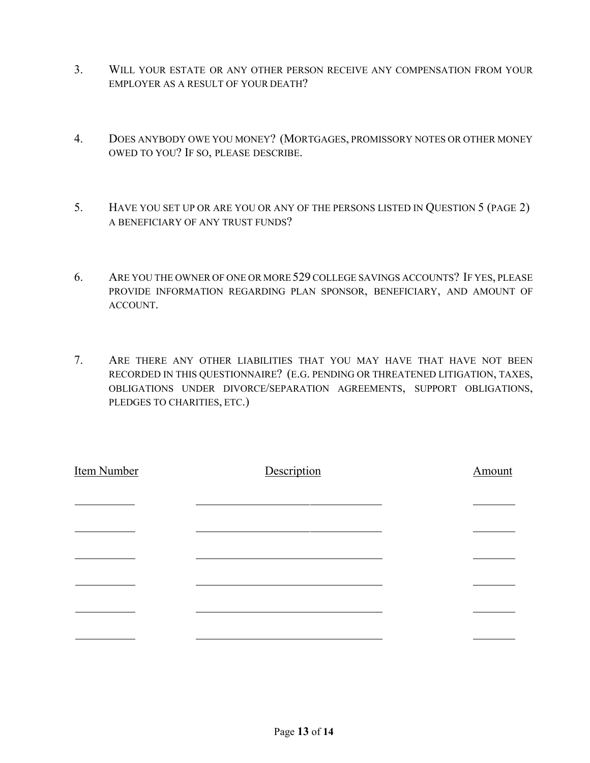- 3. WILL YOUR ESTATE OR ANY OTHER PERSON RECEIVE ANY COMPENSATION FROM YOUR EMPLOYER AS A RESULT OF YOUR DEATH?
- 4. DOES ANYBODY OWE YOU MONEY? (MORTGAGES, PROMISSORY NOTES OR OTHER MONEY OWED TO YOU? IF SO, PLEASE DESCRIBE.
- 5. HAVE YOU SET UP OR ARE YOU OR ANY OF THE PERSONS LISTED IN QUESTION 5 (PAGE 2) A BENEFICIARY OF ANY TRUST FUNDS?
- 6. ARE YOU THE OWNER OF ONE OR MORE 529 COLLEGE SAVINGS ACCOUNTS? IF YES, PLEASE PROVIDE INFORMATION REGARDING PLAN SPONSOR, BENEFICIARY, AND AMOUNT OF ACCOUNT.
- 7. ARE THERE ANY OTHER LIABILITIES THAT YOU MAY HAVE THAT HAVE NOT BEEN RECORDED IN THIS QUESTIONNAIRE? (E.G. PENDING OR THREATENED LITIGATION, TAXES, OBLIGATIONS UNDER DIVORCE/SEPARATION AGREEMENTS, SUPPORT OBLIGATIONS, PLEDGES TO CHARITIES, ETC.)

| <b>Item Number</b> | Description | Amount |
|--------------------|-------------|--------|
|                    |             |        |
|                    |             |        |
|                    |             |        |
|                    |             |        |
|                    |             |        |
|                    |             |        |